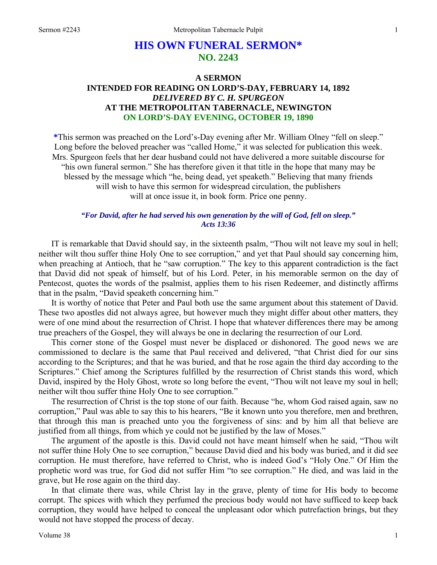# **HIS OWN FUNERAL SERMON\* NO. 2243**

## **A SERMON INTENDED FOR READING ON LORD'S-DAY, FEBRUARY 14, 1892**  *DELIVERED BY C. H. SPURGEON*  **AT THE METROPOLITAN TABERNACLE, NEWINGTON ON LORD'S-DAY EVENING, OCTOBER 19, 1890**

**\***This sermon was preached on the Lord's-Day evening after Mr. William Olney "fell on sleep." Long before the beloved preacher was "called Home," it was selected for publication this week. Mrs. Spurgeon feels that her dear husband could not have delivered a more suitable discourse for "his own funeral sermon." She has therefore given it that title in the hope that many may be blessed by the message which "he, being dead, yet speaketh." Believing that many friends will wish to have this sermon for widespread circulation, the publishers will at once issue it, in book form. Price one penny.

### *"For David, after he had served his own generation by the will of God, fell on sleep." Acts 13:36*

IT is remarkable that David should say, in the sixteenth psalm, "Thou wilt not leave my soul in hell; neither wilt thou suffer thine Holy One to see corruption," and yet that Paul should say concerning him, when preaching at Antioch, that he "saw corruption." The key to this apparent contradiction is the fact that David did not speak of himself, but of his Lord. Peter, in his memorable sermon on the day of Pentecost, quotes the words of the psalmist, applies them to his risen Redeemer, and distinctly affirms that in the psalm, "David speaketh concerning him."

It is worthy of notice that Peter and Paul both use the same argument about this statement of David. These two apostles did not always agree, but however much they might differ about other matters, they were of one mind about the resurrection of Christ. I hope that whatever differences there may be among true preachers of the Gospel, they will always be one in declaring the resurrection of our Lord.

This corner stone of the Gospel must never be displaced or dishonored. The good news we are commissioned to declare is the same that Paul received and delivered, "that Christ died for our sins according to the Scriptures; and that he was buried, and that he rose again the third day according to the Scriptures." Chief among the Scriptures fulfilled by the resurrection of Christ stands this word, which David, inspired by the Holy Ghost, wrote so long before the event, "Thou wilt not leave my soul in hell; neither wilt thou suffer thine Holy One to see corruption."

The resurrection of Christ is the top stone of our faith. Because "he, whom God raised again, saw no corruption," Paul was able to say this to his hearers, "Be it known unto you therefore, men and brethren, that through this man is preached unto you the forgiveness of sins: and by him all that believe are justified from all things, from which ye could not be justified by the law of Moses."

The argument of the apostle is this. David could not have meant himself when he said, "Thou wilt not suffer thine Holy One to see corruption," because David died and his body was buried, and it did see corruption. He must therefore, have referred to Christ, who is indeed God's "Holy One." Of Him the prophetic word was true, for God did not suffer Him "to see corruption." He died, and was laid in the grave, but He rose again on the third day.

In that climate there was, while Christ lay in the grave, plenty of time for His body to become corrupt. The spices with which they perfumed the precious body would not have sufficed to keep back corruption, they would have helped to conceal the unpleasant odor which putrefaction brings, but they would not have stopped the process of decay.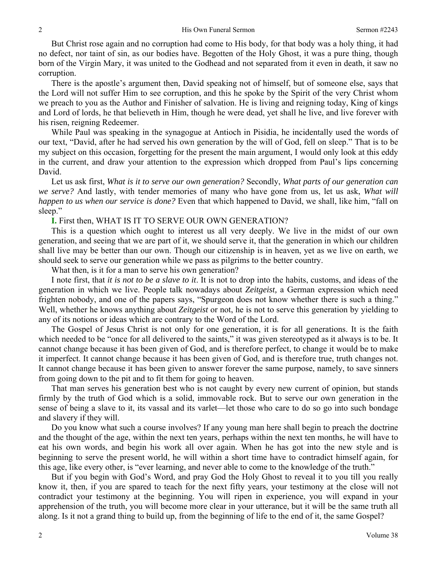But Christ rose again and no corruption had come to His body, for that body was a holy thing, it had no defect, nor taint of sin, as our bodies have. Begotten of the Holy Ghost, it was a pure thing, though born of the Virgin Mary, it was united to the Godhead and not separated from it even in death, it saw no corruption.

There is the apostle's argument then, David speaking not of himself, but of someone else, says that the Lord will not suffer Him to see corruption, and this he spoke by the Spirit of the very Christ whom we preach to you as the Author and Finisher of salvation. He is living and reigning today, King of kings and Lord of lords, he that believeth in Him, though he were dead, yet shall he live, and live forever with his risen, reigning Redeemer.

While Paul was speaking in the synagogue at Antioch in Pisidia, he incidentally used the words of our text, "David, after he had served his own generation by the will of God, fell on sleep." That is to be my subject on this occasion, forgetting for the present the main argument, I would only look at this eddy in the current, and draw your attention to the expression which dropped from Paul's lips concerning David.

Let us ask first, *What is it to serve our own generation?* Secondly, *What parts of our generation can we serve?* And lastly, with tender memories of many who have gone from us, let us ask, *What will happen to us when our service is done?* Even that which happened to David, we shall, like him, "fall on sleep."

#### **I.** First then, WHAT IS IT TO SERVE OUR OWN GENERATION?

This is a question which ought to interest us all very deeply. We live in the midst of our own generation, and seeing that we are part of it, we should serve it, that the generation in which our children shall live may be better than our own. Though our citizenship is in heaven, yet as we live on earth, we should seek to serve our generation while we pass as pilgrims to the better country.

What then, is it for a man to serve his own generation?

I note first, that *it is not to be a slave to it*. It is not to drop into the habits, customs, and ideas of the generation in which we live. People talk nowadays about *Zeitgeist,* a German expression which need frighten nobody, and one of the papers says, "Spurgeon does not know whether there is such a thing." Well, whether he knows anything about *Zeitgeist* or not, he is not to serve this generation by yielding to any of its notions or ideas which are contrary to the Word of the Lord.

The Gospel of Jesus Christ is not only for one generation, it is for all generations. It is the faith which needed to be "once for all delivered to the saints," it was given stereotyped as it always is to be. It cannot change because it has been given of God, and is therefore perfect, to change it would be to make it imperfect. It cannot change because it has been given of God, and is therefore true, truth changes not. It cannot change because it has been given to answer forever the same purpose, namely, to save sinners from going down to the pit and to fit them for going to heaven.

That man serves his generation best who is not caught by every new current of opinion, but stands firmly by the truth of God which is a solid, immovable rock. But to serve our own generation in the sense of being a slave to it, its vassal and its varlet—let those who care to do so go into such bondage and slavery if they will.

Do you know what such a course involves? If any young man here shall begin to preach the doctrine and the thought of the age, within the next ten years, perhaps within the next ten months, he will have to eat his own words, and begin his work all over again. When he has got into the new style and is beginning to serve the present world, he will within a short time have to contradict himself again, for this age, like every other, is "ever learning, and never able to come to the knowledge of the truth."

But if you begin with God's Word, and pray God the Holy Ghost to reveal it to you till you really know it, then, if you are spared to teach for the next fifty years, your testimony at the close will not contradict your testimony at the beginning. You will ripen in experience, you will expand in your apprehension of the truth, you will become more clear in your utterance, but it will be the same truth all along. Is it not a grand thing to build up, from the beginning of life to the end of it, the same Gospel?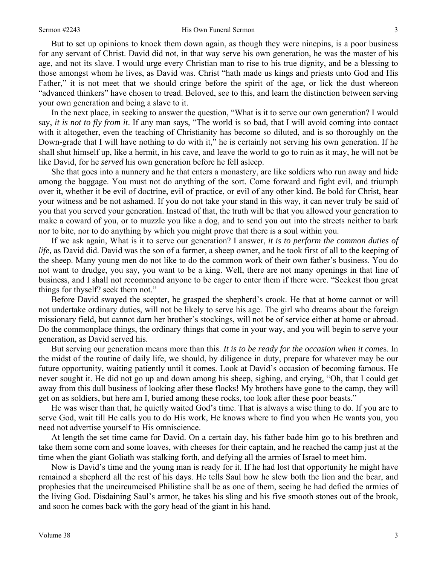#### Sermon #2243 **His Own Funeral Sermon** 3

But to set up opinions to knock them down again, as though they were ninepins, is a poor business for any servant of Christ. David did not, in that way serve his own generation, he was the master of his age, and not its slave. I would urge every Christian man to rise to his true dignity, and be a blessing to those amongst whom he lives, as David was. Christ "hath made us kings and priests unto God and His Father," it is not meet that we should cringe before the spirit of the age, or lick the dust whereon "advanced thinkers" have chosen to tread. Beloved, see to this, and learn the distinction between serving your own generation and being a slave to it.

In the next place, in seeking to answer the question, "What is it to serve our own generation? I would say, *it is not to fly from it*. If any man says, "The world is so bad, that I will avoid coming into contact with it altogether, even the teaching of Christianity has become so diluted, and is so thoroughly on the Down-grade that I will have nothing to do with it," he is certainly not serving his own generation. If he shall shut himself up, like a hermit, in his cave, and leave the world to go to ruin as it may, he will not be like David, for he *served* his own generation before he fell asleep.

She that goes into a nunnery and he that enters a monastery, are like soldiers who run away and hide among the baggage. You must not do anything of the sort. Come forward and fight evil, and triumph over it, whether it be evil of doctrine, evil of practice, or evil of any other kind. Be bold for Christ, bear your witness and be not ashamed. If you do not take your stand in this way, it can never truly be said of you that you served your generation. Instead of that, the truth will be that you allowed your generation to make a coward of you, or to muzzle you like a dog, and to send you out into the streets neither to bark nor to bite, nor to do anything by which you might prove that there is a soul within you.

If we ask again, What is it to serve our generation? I answer, *it is to perform the common duties of life,* as David did. David was the son of a farmer, a sheep owner, and he took first of all to the keeping of the sheep. Many young men do not like to do the common work of their own father's business. You do not want to drudge, you say, you want to be a king. Well, there are not many openings in that line of business, and I shall not recommend anyone to be eager to enter them if there were. "Seekest thou great things for thyself? seek them not."

Before David swayed the scepter, he grasped the shepherd's crook. He that at home cannot or will not undertake ordinary duties, will not be likely to serve his age. The girl who dreams about the foreign missionary field, but cannot darn her brother's stockings, will not be of service either at home or abroad. Do the commonplace things, the ordinary things that come in your way, and you will begin to serve your generation, as David served his.

But serving our generation means more than this. *It is to be ready for the occasion when it come*s. In the midst of the routine of daily life, we should, by diligence in duty, prepare for whatever may be our future opportunity, waiting patiently until it comes. Look at David's occasion of becoming famous. He never sought it. He did not go up and down among his sheep, sighing, and crying, "Oh, that I could get away from this dull business of looking after these flocks! My brothers have gone to the camp, they will get on as soldiers, but here am I, buried among these rocks, too look after these poor beasts."

He was wiser than that, he quietly waited God's time. That is always a wise thing to do. If you are to serve God, wait till He calls you to do His work, He knows where to find you when He wants you, you need not advertise yourself to His omniscience.

At length the set time came for David. On a certain day, his father bade him go to his brethren and take them some corn and some loaves, with cheeses for their captain, and he reached the camp just at the time when the giant Goliath was stalking forth, and defying all the armies of Israel to meet him.

Now is David's time and the young man is ready for it. If he had lost that opportunity he might have remained a shepherd all the rest of his days. He tells Saul how he slew both the lion and the bear, and prophesies that the uncircumcised Philistine shall be as one of them, seeing he had defied the armies of the living God. Disdaining Saul's armor, he takes his sling and his five smooth stones out of the brook, and soon he comes back with the gory head of the giant in his hand.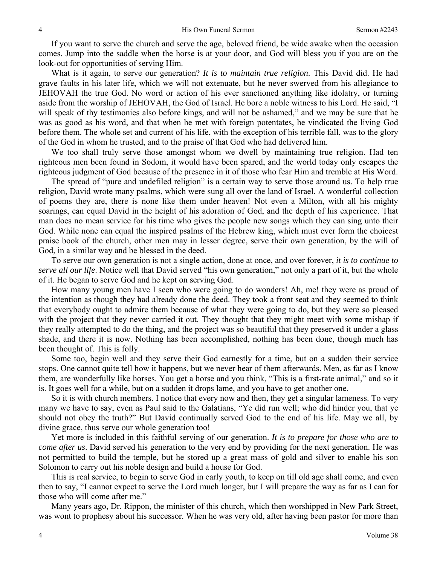If you want to serve the church and serve the age, beloved friend, be wide awake when the occasion comes. Jump into the saddle when the horse is at your door, and God will bless you if you are on the look-out for opportunities of serving Him.

What is it again, to serve our generation? *It is to maintain true religion*. This David did. He had grave faults in his later life, which we will not extenuate, but he never swerved from his allegiance to JEHOVAH the true God. No word or action of his ever sanctioned anything like idolatry, or turning aside from the worship of JEHOVAH, the God of Israel. He bore a noble witness to his Lord. He said, "I will speak of thy testimonies also before kings, and will not be ashamed," and we may be sure that he was as good as his word, and that when he met with foreign potentates, he vindicated the living God before them. The whole set and current of his life, with the exception of his terrible fall, was to the glory of the God in whom he trusted, and to the praise of that God who had delivered him.

We too shall truly serve those amongst whom we dwell by maintaining true religion. Had ten righteous men been found in Sodom, it would have been spared, and the world today only escapes the righteous judgment of God because of the presence in it of those who fear Him and tremble at His Word.

The spread of "pure and undefiled religion" is a certain way to serve those around us. To help true religion, David wrote many psalms, which were sung all over the land of Israel. A wonderful collection of poems they are, there is none like them under heaven! Not even a Milton, with all his mighty soarings, can equal David in the height of his adoration of God, and the depth of his experience. That man does no mean service for his time who gives the people new songs which they can sing unto their God. While none can equal the inspired psalms of the Hebrew king, which must ever form the choicest praise book of the church, other men may in lesser degree, serve their own generation, by the will of God, in a similar way and be blessed in the deed.

To serve our own generation is not a single action, done at once, and over forever, *it is to continue to serve all our life*. Notice well that David served "his own generation," not only a part of it, but the whole of it. He began to serve God and he kept on serving God.

How many young men have I seen who were going to do wonders! Ah, me! they were as proud of the intention as though they had already done the deed. They took a front seat and they seemed to think that everybody ought to admire them because of what they were going to do, but they were so pleased with the project that they never carried it out. They thought that they might meet with some mishap if they really attempted to do the thing, and the project was so beautiful that they preserved it under a glass shade, and there it is now. Nothing has been accomplished, nothing has been done, though much has been thought of. This is folly.

Some too, begin well and they serve their God earnestly for a time, but on a sudden their service stops. One cannot quite tell how it happens, but we never hear of them afterwards. Men, as far as I know them, are wonderfully like horses. You get a horse and you think, "This is a first-rate animal," and so it is. It goes well for a while, but on a sudden it drops lame, and you have to get another one.

So it is with church members. I notice that every now and then, they get a singular lameness. To very many we have to say, even as Paul said to the Galatians, "Ye did run well; who did hinder you, that ye should not obey the truth?" But David continually served God to the end of his life. May we all, by divine grace, thus serve our whole generation too!

Yet more is included in this faithful serving of our generation. *It is to prepare for those who are to come after us*. David served his generation to the very end by providing for the next generation. He was not permitted to build the temple, but he stored up a great mass of gold and silver to enable his son Solomon to carry out his noble design and build a house for God.

This is real service, to begin to serve God in early youth, to keep on till old age shall come, and even then to say, "I cannot expect to serve the Lord much longer, but I will prepare the way as far as I can for those who will come after me."

Many years ago, Dr. Rippon, the minister of this church, which then worshipped in New Park Street, was wont to prophesy about his successor. When he was very old, after having been pastor for more than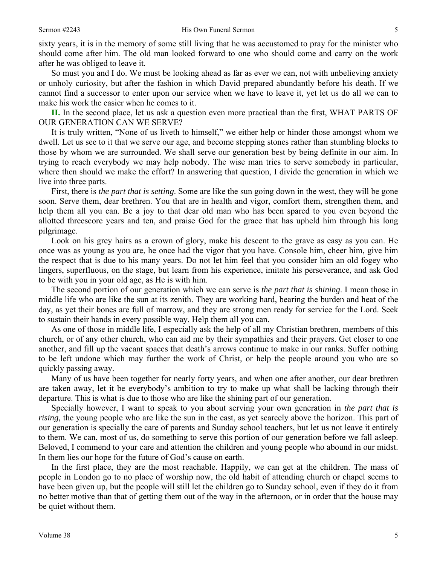sixty years, it is in the memory of some still living that he was accustomed to pray for the minister who should come after him. The old man looked forward to one who should come and carry on the work after he was obliged to leave it.

So must you and I do. We must be looking ahead as far as ever we can, not with unbelieving anxiety or unholy curiosity, but after the fashion in which David prepared abundantly before his death. If we cannot find a successor to enter upon our service when we have to leave it, yet let us do all we can to make his work the easier when he comes to it.

**II.** In the second place, let us ask a question even more practical than the first, WHAT PARTS OF OUR GENERATION CAN WE SERVE?

It is truly written, "None of us liveth to himself," we either help or hinder those amongst whom we dwell. Let us see to it that we serve our age, and become stepping stones rather than stumbling blocks to those by whom we are surrounded. We shall serve our generation best by being definite in our aim. In trying to reach everybody we may help nobody. The wise man tries to serve somebody in particular, where then should we make the effort? In answering that question, I divide the generation in which we live into three parts.

First, there is *the part that is setting*. Some are like the sun going down in the west, they will be gone soon. Serve them, dear brethren. You that are in health and vigor, comfort them, strengthen them, and help them all you can. Be a joy to that dear old man who has been spared to you even beyond the allotted threescore years and ten, and praise God for the grace that has upheld him through his long pilgrimage.

Look on his grey hairs as a crown of glory, make his descent to the grave as easy as you can. He once was as young as you are, he once had the vigor that you have. Console him, cheer him, give him the respect that is due to his many years. Do not let him feel that you consider him an old fogey who lingers, superfluous, on the stage, but learn from his experience, imitate his perseverance, and ask God to be with you in your old age, as He is with him.

The second portion of our generation which we can serve is *the part that is shining*. I mean those in middle life who are like the sun at its zenith. They are working hard, bearing the burden and heat of the day, as yet their bones are full of marrow, and they are strong men ready for service for the Lord. Seek to sustain their hands in every possible way. Help them all you can.

As one of those in middle life, I especially ask the help of all my Christian brethren, members of this church, or of any other church, who can aid me by their sympathies and their prayers. Get closer to one another, and fill up the vacant spaces that death's arrows continue to make in our ranks. Suffer nothing to be left undone which may further the work of Christ, or help the people around you who are so quickly passing away.

Many of us have been together for nearly forty years, and when one after another, our dear brethren are taken away, let it be everybody's ambition to try to make up what shall be lacking through their departure. This is what is due to those who are like the shining part of our generation.

Specially however, I want to speak to you about serving your own generation in *the part that is rising,* the young people who are like the sun in the east, as yet scarcely above the horizon. This part of our generation is specially the care of parents and Sunday school teachers, but let us not leave it entirely to them. We can, most of us, do something to serve this portion of our generation before we fall asleep. Beloved, I commend to your care and attention the children and young people who abound in our midst. In them lies our hope for the future of God's cause on earth.

In the first place, they are the most reachable. Happily, we can get at the children. The mass of people in London go to no place of worship now, the old habit of attending church or chapel seems to have been given up, but the people will still let the children go to Sunday school, even if they do it from no better motive than that of getting them out of the way in the afternoon, or in order that the house may be quiet without them.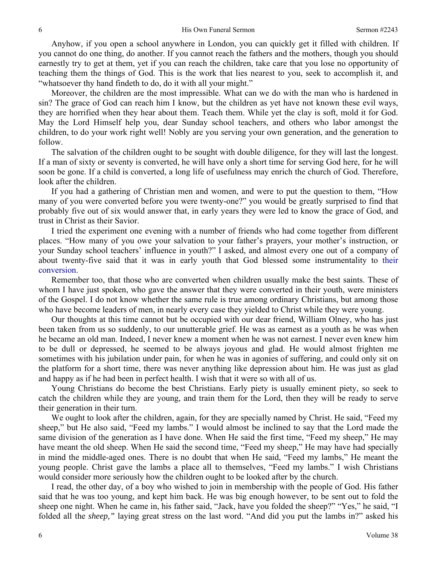Anyhow, if you open a school anywhere in London, you can quickly get it filled with children. If you cannot do one thing, do another. If you cannot reach the fathers and the mothers, though you should earnestly try to get at them, yet if you can reach the children, take care that you lose no opportunity of teaching them the things of God. This is the work that lies nearest to you, seek to accomplish it, and "whatsoever thy hand findeth to do, do it with all your might."

Moreover, the children are the most impressible. What can we do with the man who is hardened in sin? The grace of God can reach him I know, but the children as yet have not known these evil ways, they are horrified when they hear about them. Teach them. While yet the clay is soft, mold it for God. May the Lord Himself help you, dear Sunday school teachers, and others who labor amongst the children, to do your work right well! Nobly are you serving your own generation, and the generation to follow.

The salvation of the children ought to be sought with double diligence, for they will last the longest. If a man of sixty or seventy is converted, he will have only a short time for serving God here, for he will soon be gone. If a child is converted, a long life of usefulness may enrich the church of God. Therefore, look after the children.

If you had a gathering of Christian men and women, and were to put the question to them, "How many of you were converted before you were twenty-one?" you would be greatly surprised to find that probably five out of six would answer that, in early years they were led to know the grace of God, and trust in Christ as their Savior.

I tried the experiment one evening with a number of friends who had come together from different places. "How many of you owe your salvation to your father's prayers, your mother's instruction, or your Sunday school teachers' influence in youth?" I asked, and almost every one out of a company of about twenty-five said that it was in early youth that God blessed some instrumentality to their conversion.

Remember too, that those who are converted when children usually make the best saints. These of whom I have just spoken, who gave the answer that they were converted in their youth, were ministers of the Gospel. I do not know whether the same rule is true among ordinary Christians, but among those who have become leaders of men, in nearly every case they yielded to Christ while they were young.

Our thoughts at this time cannot but be occupied with our dear friend, William Olney, who has just been taken from us so suddenly, to our unutterable grief. He was as earnest as a youth as he was when he became an old man. Indeed, I never knew a moment when he was not earnest. I never even knew him to be dull or depressed, he seemed to be always joyous and glad. He would almost frighten me sometimes with his jubilation under pain, for when he was in agonies of suffering, and could only sit on the platform for a short time, there was never anything like depression about him. He was just as glad and happy as if he had been in perfect health. I wish that it were so with all of us.

Young Christians do become the best Christians. Early piety is usually eminent piety, so seek to catch the children while they are young, and train them for the Lord, then they will be ready to serve their generation in their turn.

We ought to look after the children, again, for they are specially named by Christ. He said, "Feed my sheep," but He also said, "Feed my lambs." I would almost be inclined to say that the Lord made the same division of the generation as I have done. When He said the first time, "Feed my sheep," He may have meant the old sheep. When He said the second time, "Feed my sheep," He may have had specially in mind the middle-aged ones. There is no doubt that when He said, "Feed my lambs," He meant the young people. Christ gave the lambs a place all to themselves, "Feed my lambs." I wish Christians would consider more seriously how the children ought to be looked after by the church.

I read, the other day, of a boy who wished to join in membership with the people of God. His father said that he was too young, and kept him back. He was big enough however, to be sent out to fold the sheep one night. When he came in, his father said, "Jack, have you folded the sheep?" "Yes," he said, "I folded all the *sheep,"* laying great stress on the last word. "And did you put the lambs in?" asked his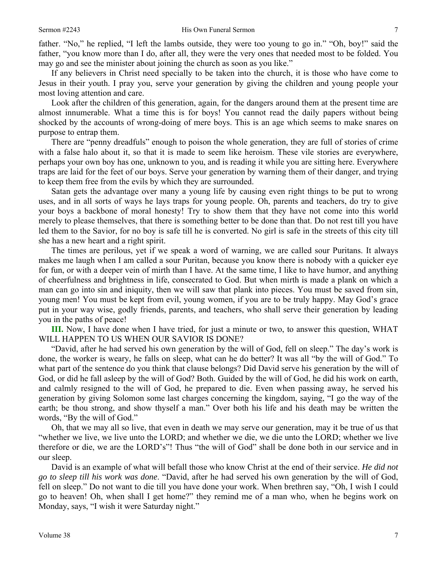father. "No," he replied, "I left the lambs outside, they were too young to go in." "Oh, boy!" said the father, "you know more than I do, after all, they were the very ones that needed most to be folded. You may go and see the minister about joining the church as soon as you like."

If any believers in Christ need specially to be taken into the church, it is those who have come to Jesus in their youth. I pray you, serve your generation by giving the children and young people your most loving attention and care.

Look after the children of this generation, again, for the dangers around them at the present time are almost innumerable. What a time this is for boys! You cannot read the daily papers without being shocked by the accounts of wrong-doing of mere boys. This is an age which seems to make snares on purpose to entrap them.

There are "penny dreadfuls" enough to poison the whole generation, they are full of stories of crime with a false halo about it, so that it is made to seem like heroism. These vile stories are everywhere, perhaps your own boy has one, unknown to you, and is reading it while you are sitting here. Everywhere traps are laid for the feet of our boys. Serve your generation by warning them of their danger, and trying to keep them free from the evils by which they are surrounded.

Satan gets the advantage over many a young life by causing even right things to be put to wrong uses, and in all sorts of ways he lays traps for young people. Oh, parents and teachers, do try to give your boys a backbone of moral honesty! Try to show them that they have not come into this world merely to please themselves, that there is something better to be done than that. Do not rest till you have led them to the Savior, for no boy is safe till he is converted. No girl is safe in the streets of this city till she has a new heart and a right spirit.

The times are perilous, yet if we speak a word of warning, we are called sour Puritans. It always makes me laugh when I am called a sour Puritan, because you know there is nobody with a quicker eye for fun, or with a deeper vein of mirth than I have. At the same time, I like to have humor, and anything of cheerfulness and brightness in life, consecrated to God. But when mirth is made a plank on which a man can go into sin and iniquity, then we will saw that plank into pieces. You must be saved from sin, young men! You must be kept from evil, young women, if you are to be truly happy. May God's grace put in your way wise, godly friends, parents, and teachers, who shall serve their generation by leading you in the paths of peace!

**III.** Now, I have done when I have tried, for just a minute or two, to answer this question, WHAT WILL HAPPEN TO US WHEN OUR SAVIOR IS DONE?

"David, after he had served his own generation by the will of God, fell on sleep." The day's work is done, the worker is weary, he falls on sleep, what can he do better? It was all "by the will of God." To what part of the sentence do you think that clause belongs? Did David serve his generation by the will of God, or did he fall asleep by the will of God? Both. Guided by the will of God, he did his work on earth, and calmly resigned to the will of God, he prepared to die. Even when passing away, he served his generation by giving Solomon some last charges concerning the kingdom, saying, "I go the way of the earth; be thou strong, and show thyself a man." Over both his life and his death may be written the words, "By the will of God."

Oh, that we may all so live, that even in death we may serve our generation, may it be true of us that "whether we live, we live unto the LORD; and whether we die, we die unto the LORD; whether we live therefore or die, we are the LORD's"! Thus "the will of God" shall be done both in our service and in our sleep.

David is an example of what will befall those who know Christ at the end of their service. *He did not go to sleep till his work was done*. "David, after he had served his own generation by the will of God, fell on sleep." Do not want to die till you have done your work. When brethren say, "Oh, I wish I could go to heaven! Oh, when shall I get home?" they remind me of a man who, when he begins work on Monday, says, "I wish it were Saturday night."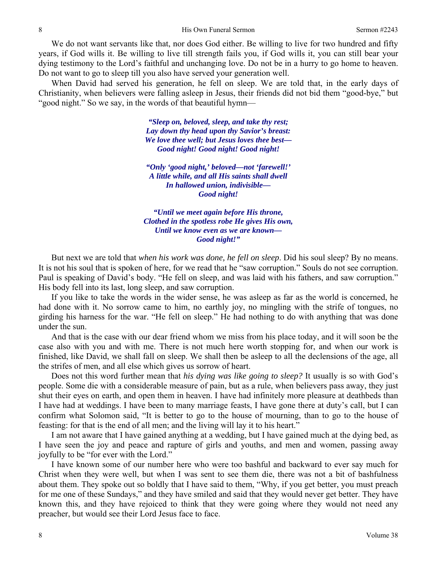We do not want servants like that, nor does God either. Be willing to live for two hundred and fifty years, if God wills it. Be willing to live till strength fails you, if God wills it, you can still bear your dying testimony to the Lord's faithful and unchanging love. Do not be in a hurry to go home to heaven. Do not want to go to sleep till you also have served your generation well.

When David had served his generation, he fell on sleep. We are told that, in the early days of Christianity, when believers were falling asleep in Jesus, their friends did not bid them "good-bye," but "good night." So we say, in the words of that beautiful hymn—

> *"Sleep on, beloved, sleep, and take thy rest; Lay down thy head upon thy Savior's breast: We love thee well; but Jesus loves thee best— Good night! Good night! Good night!*

*"Only 'good night,' beloved—not 'farewell!' A little while, and all His saints shall dwell In hallowed union, indivisible— Good night!* 

*"Until we meet again before His throne, Clothed in the spotless robe He gives His own, Until we know even as we are known— Good night!"* 

But next we are told that *when his work was done, he fell on sleep*. Did his soul sleep? By no means. It is not his soul that is spoken of here, for we read that he "saw corruption." Souls do not see corruption. Paul is speaking of David's body. "He fell on sleep, and was laid with his fathers, and saw corruption." His body fell into its last, long sleep, and saw corruption.

If you like to take the words in the wider sense, he was asleep as far as the world is concerned, he had done with it. No sorrow came to him, no earthly joy, no mingling with the strife of tongues, no girding his harness for the war. "He fell on sleep." He had nothing to do with anything that was done under the sun.

And that is the case with our dear friend whom we miss from his place today, and it will soon be the case also with you and with me. There is not much here worth stopping for, and when our work is finished, like David, we shall fall on sleep. We shall then be asleep to all the declensions of the age, all the strifes of men, and all else which gives us sorrow of heart.

Does not this word further mean that *his dying was like going to sleep?* It usually is so with God's people. Some die with a considerable measure of pain, but as a rule, when believers pass away, they just shut their eyes on earth, and open them in heaven. I have had infinitely more pleasure at deathbeds than I have had at weddings. I have been to many marriage feasts, I have gone there at duty's call, but I can confirm what Solomon said, "It is better to go to the house of mourning, than to go to the house of feasting: for that is the end of all men; and the living will lay it to his heart."

I am not aware that I have gained anything at a wedding, but I have gained much at the dying bed, as I have seen the joy and peace and rapture of girls and youths, and men and women, passing away joyfully to be "for ever with the Lord."

I have known some of our number here who were too bashful and backward to ever say much for Christ when they were well, but when I was sent to see them die, there was not a bit of bashfulness about them. They spoke out so boldly that I have said to them, "Why, if you get better, you must preach for me one of these Sundays," and they have smiled and said that they would never get better. They have known this, and they have rejoiced to think that they were going where they would not need any preacher, but would see their Lord Jesus face to face.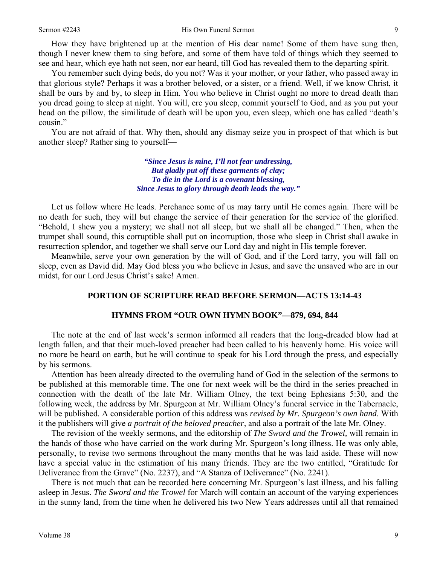How they have brightened up at the mention of His dear name! Some of them have sung then, though I never knew them to sing before, and some of them have told of things which they seemed to see and hear, which eye hath not seen, nor ear heard, till God has revealed them to the departing spirit.

You remember such dying beds, do you not? Was it your mother, or your father, who passed away in that glorious style? Perhaps it was a brother beloved, or a sister, or a friend. Well, if we know Christ, it shall be ours by and by, to sleep in Him. You who believe in Christ ought no more to dread death than you dread going to sleep at night. You will, ere you sleep, commit yourself to God, and as you put your head on the pillow, the similitude of death will be upon you, even sleep, which one has called "death's cousin."

You are not afraid of that. Why then, should any dismay seize you in prospect of that which is but another sleep? Rather sing to yourself—

> *"Since Jesus is mine, I'll not fear undressing, But gladly put off these garments of clay; To die in the Lord is a covenant blessing, Since Jesus to glory through death leads the way."*

Let us follow where He leads. Perchance some of us may tarry until He comes again. There will be no death for such, they will but change the service of their generation for the service of the glorified. "Behold, I shew you a mystery; we shall not all sleep, but we shall all be changed." Then, when the trumpet shall sound, this corruptible shall put on incorruption, those who sleep in Christ shall awake in resurrection splendor, and together we shall serve our Lord day and night in His temple forever.

Meanwhile, serve your own generation by the will of God, and if the Lord tarry, you will fall on sleep, even as David did. May God bless you who believe in Jesus, and save the unsaved who are in our midst, for our Lord Jesus Christ's sake! Amen.

### **PORTION OF SCRIPTURE READ BEFORE SERMON—ACTS 13:14-43**

#### **HYMNS FROM "OUR OWN HYMN BOOK"—879, 694, 844**

The note at the end of last week's sermon informed all readers that the long-dreaded blow had at length fallen, and that their much-loved preacher had been called to his heavenly home. His voice will no more be heard on earth, but he will continue to speak for his Lord through the press, and especially by his sermons.

Attention has been already directed to the overruling hand of God in the selection of the sermons to be published at this memorable time. The one for next week will be the third in the series preached in connection with the death of the late Mr. William Olney, the text being Ephesians 5:30, and the following week, the address by Mr. Spurgeon at Mr. William Olney's funeral service in the Tabernacle, will be published. A considerable portion of this address was *revised by Mr. Spurgeon's own hand*. With it the publishers will give *a portrait of the beloved preacher,* and also a portrait of the late Mr. Olney.

The revision of the weekly sermons, and the editorship of *The Sword and the Trowel,* will remain in the hands of those who have carried on the work during Mr. Spurgeon's long illness. He was only able, personally, to revise two sermons throughout the many months that he was laid aside. These will now have a special value in the estimation of his many friends. They are the two entitled, "Gratitude for Deliverance from the Grave" (No. 2237), and "A Stanza of Deliverance" (No. 2241).

There is not much that can be recorded here concerning Mr. Spurgeon's last illness, and his falling asleep in Jesus. *The Sword and the Trowel* for March will contain an account of the varying experiences in the sunny land, from the time when he delivered his two New Years addresses until all that remained